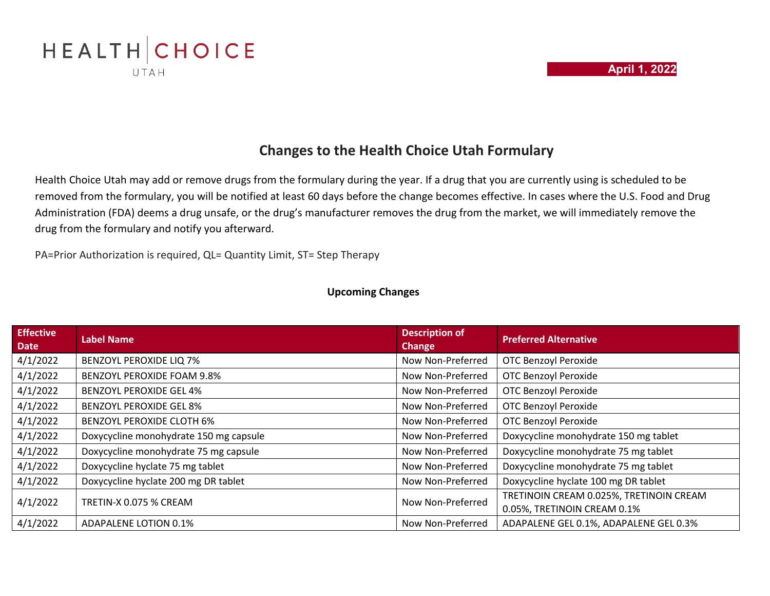



## **Changes to the Health Choice Utah Formulary**

Health Choice Utah may add or remove drugs from the formulary during the year. If a drug that you are currently using is scheduled to be removed from the formulary, you will be notified at least 60 days before the change becomes effective. In cases where the U.S. Food and Drug Administration (FDA) deems a drug unsafe, or the drug's manufacturer removes the drug from the market, we will immediately remove the drug from the formulary and notify you afterward.

PA=Prior Authorization is required, QL= Quantity Limit, ST= Step Therapy

#### **Upcoming Changes**

| <b>Effective</b><br><b>Date</b> | <b>Label Name</b>                      | <b>Description of</b><br><b>Change</b> | <b>Preferred Alternative</b>            |
|---------------------------------|----------------------------------------|----------------------------------------|-----------------------------------------|
| 4/1/2022                        | <b>BENZOYL PEROXIDE LIQ 7%</b>         | Now Non-Preferred                      | <b>OTC Benzoyl Peroxide</b>             |
| 4/1/2022                        | <b>BENZOYL PEROXIDE FOAM 9.8%</b>      | Now Non-Preferred                      | <b>OTC Benzoyl Peroxide</b>             |
| 4/1/2022                        | <b>BENZOYL PEROXIDE GEL 4%</b>         | Now Non-Preferred                      | <b>OTC Benzoyl Peroxide</b>             |
| 4/1/2022                        | <b>BENZOYL PEROXIDE GEL 8%</b>         | Now Non-Preferred                      | <b>OTC Benzoyl Peroxide</b>             |
| 4/1/2022                        | <b>BENZOYL PEROXIDE CLOTH 6%</b>       | Now Non-Preferred                      | <b>OTC Benzoyl Peroxide</b>             |
| 4/1/2022                        | Doxycycline monohydrate 150 mg capsule | Now Non-Preferred                      | Doxycycline monohydrate 150 mg tablet   |
| 4/1/2022                        | Doxycycline monohydrate 75 mg capsule  | Now Non-Preferred                      | Doxycycline monohydrate 75 mg tablet    |
| 4/1/2022                        | Doxycycline hyclate 75 mg tablet       | Now Non-Preferred                      | Doxycycline monohydrate 75 mg tablet    |
| 4/1/2022                        | Doxycycline hyclate 200 mg DR tablet   | Now Non-Preferred                      | Doxycycline hyclate 100 mg DR tablet    |
| 4/1/2022                        | TRETIN-X 0.075 % CREAM                 | Now Non-Preferred                      | TRETINOIN CREAM 0.025%, TRETINOIN CREAM |
|                                 |                                        |                                        | 0.05%, TRETINOIN CREAM 0.1%             |
| 4/1/2022                        | ADAPALENE LOTION 0.1%                  | Now Non-Preferred                      | ADAPALENE GEL 0.1%, ADAPALENE GEL 0.3%  |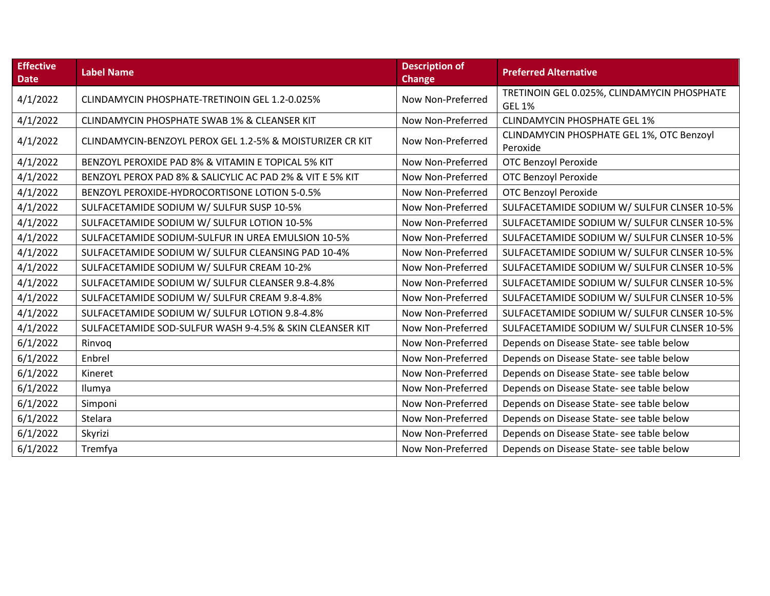| <b>Effective</b><br><b>Date</b> | <b>Label Name</b>                                         | <b>Description of</b><br><b>Change</b> | <b>Preferred Alternative</b>                                 |
|---------------------------------|-----------------------------------------------------------|----------------------------------------|--------------------------------------------------------------|
| 4/1/2022                        | CLINDAMYCIN PHOSPHATE-TRETINOIN GEL 1.2-0.025%            | Now Non-Preferred                      | TRETINOIN GEL 0.025%, CLINDAMYCIN PHOSPHATE<br><b>GEL 1%</b> |
| 4/1/2022                        | CLINDAMYCIN PHOSPHATE SWAB 1% & CLEANSER KIT              | Now Non-Preferred                      | <b>CLINDAMYCIN PHOSPHATE GEL 1%</b>                          |
| 4/1/2022                        | CLINDAMYCIN-BENZOYL PEROX GEL 1.2-5% & MOISTURIZER CR KIT | Now Non-Preferred                      | CLINDAMYCIN PHOSPHATE GEL 1%, OTC Benzoyl<br>Peroxide        |
| 4/1/2022                        | BENZOYL PEROXIDE PAD 8% & VITAMIN E TOPICAL 5% KIT        | Now Non-Preferred                      | <b>OTC Benzoyl Peroxide</b>                                  |
| 4/1/2022                        | BENZOYL PEROX PAD 8% & SALICYLIC AC PAD 2% & VIT E 5% KIT | Now Non-Preferred                      | <b>OTC Benzoyl Peroxide</b>                                  |
| 4/1/2022                        | BENZOYL PEROXIDE-HYDROCORTISONE LOTION 5-0.5%             | Now Non-Preferred                      | <b>OTC Benzoyl Peroxide</b>                                  |
| 4/1/2022                        | SULFACETAMIDE SODIUM W/ SULFUR SUSP 10-5%                 | Now Non-Preferred                      | SULFACETAMIDE SODIUM W/ SULFUR CLNSER 10-5%                  |
| 4/1/2022                        | SULFACETAMIDE SODIUM W/ SULFUR LOTION 10-5%               | Now Non-Preferred                      | SULFACETAMIDE SODIUM W/ SULFUR CLNSER 10-5%                  |
| 4/1/2022                        | SULFACETAMIDE SODIUM-SULFUR IN UREA EMULSION 10-5%        | Now Non-Preferred                      | SULFACETAMIDE SODIUM W/ SULFUR CLNSER 10-5%                  |
| 4/1/2022                        | SULFACETAMIDE SODIUM W/ SULFUR CLEANSING PAD 10-4%        | Now Non-Preferred                      | SULFACETAMIDE SODIUM W/ SULFUR CLNSER 10-5%                  |
| 4/1/2022                        | SULFACETAMIDE SODIUM W/ SULFUR CREAM 10-2%                | Now Non-Preferred                      | SULFACETAMIDE SODIUM W/ SULFUR CLNSER 10-5%                  |
| 4/1/2022                        | SULFACETAMIDE SODIUM W/ SULFUR CLEANSER 9.8-4.8%          | Now Non-Preferred                      | SULFACETAMIDE SODIUM W/ SULFUR CLNSER 10-5%                  |
| 4/1/2022                        | SULFACETAMIDE SODIUM W/ SULFUR CREAM 9.8-4.8%             | Now Non-Preferred                      | SULFACETAMIDE SODIUM W/ SULFUR CLNSER 10-5%                  |
| 4/1/2022                        | SULFACETAMIDE SODIUM W/ SULFUR LOTION 9.8-4.8%            | Now Non-Preferred                      | SULFACETAMIDE SODIUM W/ SULFUR CLNSER 10-5%                  |
| 4/1/2022                        | SULFACETAMIDE SOD-SULFUR WASH 9-4.5% & SKIN CLEANSER KIT  | Now Non-Preferred                      | SULFACETAMIDE SODIUM W/ SULFUR CLNSER 10-5%                  |
| 6/1/2022                        | Rinvog                                                    | Now Non-Preferred                      | Depends on Disease State- see table below                    |
| 6/1/2022                        | Enbrel                                                    | Now Non-Preferred                      | Depends on Disease State- see table below                    |
| 6/1/2022                        | Kineret                                                   | Now Non-Preferred                      | Depends on Disease State- see table below                    |
| 6/1/2022                        | Ilumya                                                    | Now Non-Preferred                      | Depends on Disease State- see table below                    |
| 6/1/2022                        | Simponi                                                   | Now Non-Preferred                      | Depends on Disease State- see table below                    |
| 6/1/2022                        | Stelara                                                   | Now Non-Preferred                      | Depends on Disease State- see table below                    |
| 6/1/2022                        | Skyrizi                                                   | Now Non-Preferred                      | Depends on Disease State- see table below                    |
| 6/1/2022                        | Tremfya                                                   | Now Non-Preferred                      | Depends on Disease State- see table below                    |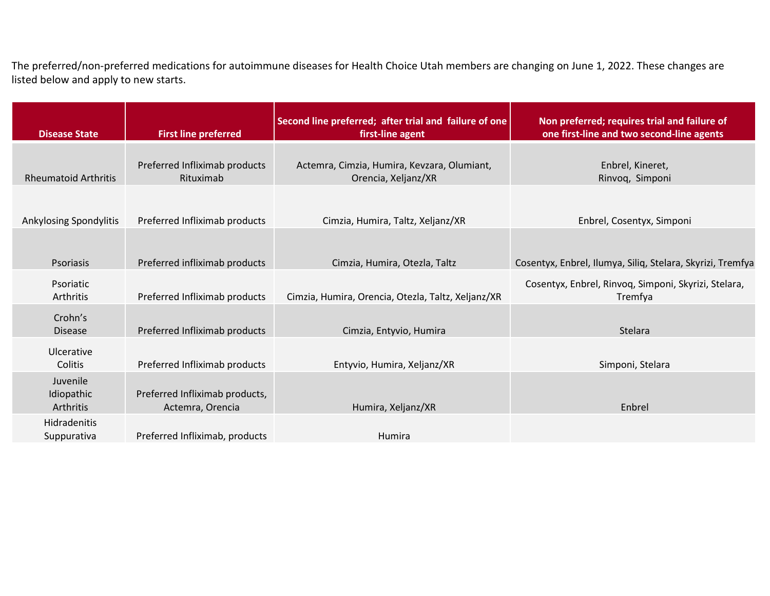The preferred/non-preferred medications for autoimmune diseases for Health Choice Utah members are changing on June 1, 2022. These changes are listed below and apply to new starts.

| <b>Disease State</b>                | <b>First line preferred</b>                        | Second line preferred; after trial and failure of one<br>first-line agent | Non preferred; requires trial and failure of<br>one first-line and two second-line agents |
|-------------------------------------|----------------------------------------------------|---------------------------------------------------------------------------|-------------------------------------------------------------------------------------------|
|                                     |                                                    |                                                                           |                                                                                           |
| <b>Rheumatoid Arthritis</b>         | Preferred Infliximab products<br>Rituximab         | Actemra, Cimzia, Humira, Kevzara, Olumiant,<br>Orencia, Xeljanz/XR        | Enbrel, Kineret,<br>Rinvoq, Simponi                                                       |
|                                     |                                                    |                                                                           |                                                                                           |
| Ankylosing Spondylitis              | Preferred Infliximab products                      | Cimzia, Humira, Taltz, Xeljanz/XR                                         | Enbrel, Cosentyx, Simponi                                                                 |
|                                     |                                                    |                                                                           |                                                                                           |
| <b>Psoriasis</b>                    | Preferred infliximab products                      | Cimzia, Humira, Otezla, Taltz                                             | Cosentyx, Enbrel, Ilumya, Siliq, Stelara, Skyrizi, Tremfya                                |
| Psoriatic<br>Arthritis              | Preferred Infliximab products                      | Cimzia, Humira, Orencia, Otezla, Taltz, Xeljanz/XR                        | Cosentyx, Enbrel, Rinvoq, Simponi, Skyrizi, Stelara,<br>Tremfya                           |
| Crohn's<br><b>Disease</b>           | Preferred Infliximab products                      | Cimzia, Entyvio, Humira                                                   | Stelara                                                                                   |
| Ulcerative<br>Colitis               | Preferred Infliximab products                      | Entyvio, Humira, Xeljanz/XR                                               | Simponi, Stelara                                                                          |
| Juvenile<br>Idiopathic<br>Arthritis | Preferred Infliximab products,<br>Actemra, Orencia | Humira, Xeljanz/XR                                                        | Enbrel                                                                                    |
| Hidradenitis<br>Suppurativa         | Preferred Infliximab, products                     | Humira                                                                    |                                                                                           |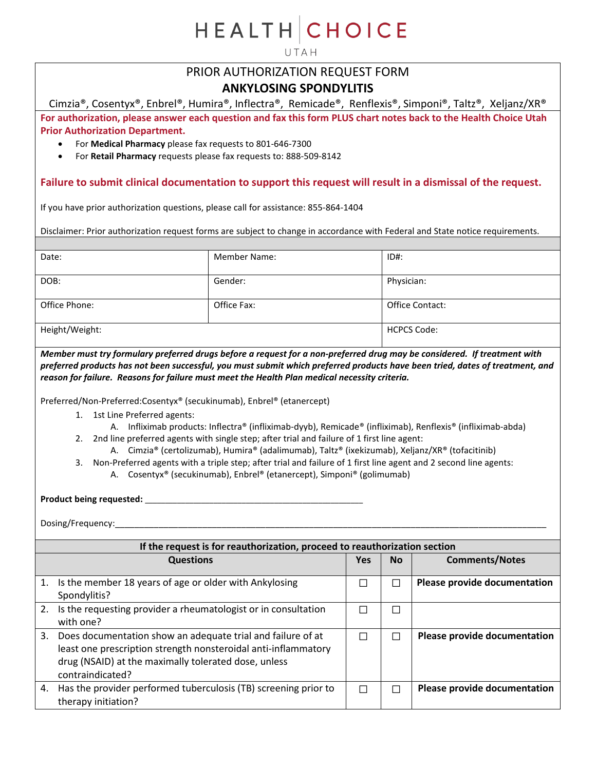UTAH

## PRIOR AUTHORIZATION REQUEST FORM **ANKYLOSING SPONDYLITIS**

Cimzia®, Cosentyx®, Enbrel®, Humira®, Inflectra®, Remicade®, Renflexis®, Simponi®, Taltz®, Xeljanz/XR® **For authorization, please answer each question and fax this form PLUS chart notes back to the Health Choice Utah Prior Authorization Department.**

- For **Medical Pharmacy** please fax requests to 801-646-7300
- For **Retail Pharmacy** requests please fax requests to: 888-509-8142

### **Failure to submit clinical documentation to support this request will result in a dismissal of the request.**

If you have prior authorization questions, please call for assistance: 855-864-1404

Disclaimer: Prior authorization request forms are subject to change in accordance with Federal and State notice requirements.

| Date:          | <b>Member Name:</b> | $ID#$ :            |
|----------------|---------------------|--------------------|
| DOB:           | Gender:             | Physician:         |
| Office Phone:  | Office Fax:         | Office Contact:    |
| Height/Weight: |                     | <b>HCPCS Code:</b> |

*Member must try formulary preferred drugs before a request for a non-preferred drug may be considered. If treatment with preferred products has not been successful, you must submit which preferred products have been tried, dates of treatment, and reason for failure. Reasons for failure must meet the Health Plan medical necessity criteria.*

Preferred/Non-Preferred:Cosentyx® (secukinumab), Enbrel® (etanercept)

- 1. 1st Line Preferred agents:
	- A. Infliximab products: Inflectra® (infliximab-dyyb), Remicade® (infliximab), Renflexis® (infliximab-abda)
- 2. 2nd line preferred agents with single step; after trial and failure of 1 first line agent:
	- A. Cimzia® (certolizumab), Humira® (adalimumab), Taltz® (ixekizumab), Xeljanz/XR® (tofacitinib)
- 3. Non-Preferred agents with a triple step; after trial and failure of 1 first line agent and 2 second line agents: A. Cosentyx® (secukinumab), Enbrel® (etanercept), Simponi® (golimumab)

**Product being requested:** \_\_\_\_\_\_\_\_\_\_\_\_\_\_\_\_\_\_\_\_\_\_\_\_\_\_\_\_\_\_\_\_\_\_\_\_\_\_\_\_\_\_\_\_\_\_\_\_\_\_\_\_\_\_

|    | If the request is for reauthorization, proceed to reauthorization section                                                                                                                                 |     |           |                              |  |
|----|-----------------------------------------------------------------------------------------------------------------------------------------------------------------------------------------------------------|-----|-----------|------------------------------|--|
|    | <b>Questions</b>                                                                                                                                                                                          | Yes | <b>No</b> | <b>Comments/Notes</b>        |  |
| 1. | Is the member 18 years of age or older with Ankylosing<br>Spondylitis?                                                                                                                                    |     |           | Please provide documentation |  |
| 2. | Is the requesting provider a rheumatologist or in consultation<br>with one?                                                                                                                               |     |           |                              |  |
| 3. | Does documentation show an adequate trial and failure of at<br>least one prescription strength nonsteroidal anti-inflammatory<br>drug (NSAID) at the maximally tolerated dose, unless<br>contraindicated? |     |           | Please provide documentation |  |
| 4. | Has the provider performed tuberculosis (TB) screening prior to<br>therapy initiation?                                                                                                                    |     |           | Please provide documentation |  |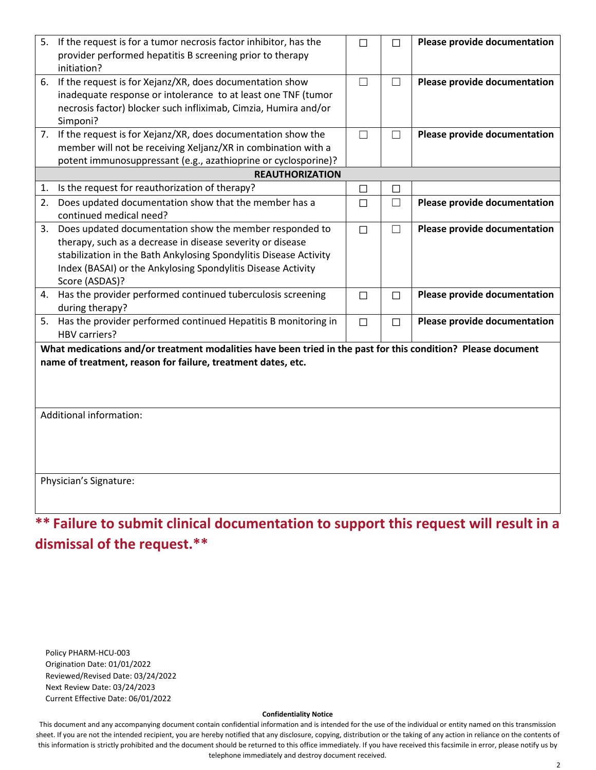|                                                                                                                                                                              | 5. If the request is for a tumor necrosis factor inhibitor, has the<br>provider performed hepatitis B screening prior to therapy<br>initiation?                                                                                                                              | $\Box$ | П      | Please provide documentation |  |
|------------------------------------------------------------------------------------------------------------------------------------------------------------------------------|------------------------------------------------------------------------------------------------------------------------------------------------------------------------------------------------------------------------------------------------------------------------------|--------|--------|------------------------------|--|
|                                                                                                                                                                              | 6. If the request is for Xejanz/XR, does documentation show<br>inadequate response or intolerance to at least one TNF (tumor<br>necrosis factor) blocker such infliximab, Cimzia, Humira and/or<br>Simponi?                                                                  | П      | $\Box$ | Please provide documentation |  |
|                                                                                                                                                                              | 7. If the request is for Xejanz/XR, does documentation show the<br>member will not be receiving Xeljanz/XR in combination with a<br>potent immunosuppressant (e.g., azathioprine or cyclosporine)?                                                                           | $\Box$ | $\Box$ | Please provide documentation |  |
|                                                                                                                                                                              | <b>REAUTHORIZATION</b>                                                                                                                                                                                                                                                       |        |        |                              |  |
| 1.                                                                                                                                                                           | Is the request for reauthorization of therapy?                                                                                                                                                                                                                               | □      |        |                              |  |
| 2.                                                                                                                                                                           | Does updated documentation show that the member has a<br>continued medical need?                                                                                                                                                                                             | □      | $\Box$ | Please provide documentation |  |
| 3.                                                                                                                                                                           | Does updated documentation show the member responded to<br>therapy, such as a decrease in disease severity or disease<br>stabilization in the Bath Ankylosing Spondylitis Disease Activity<br>Index (BASAI) or the Ankylosing Spondylitis Disease Activity<br>Score (ASDAS)? | $\Box$ | $\Box$ | Please provide documentation |  |
|                                                                                                                                                                              | 4. Has the provider performed continued tuberculosis screening<br>during therapy?                                                                                                                                                                                            | П      | П      | Please provide documentation |  |
| 5.                                                                                                                                                                           | Has the provider performed continued Hepatitis B monitoring in<br>HBV carriers?                                                                                                                                                                                              | $\Box$ | $\Box$ | Please provide documentation |  |
| What medications and/or treatment modalities have been tried in the past for this condition? Please document<br>name of treatment, reason for failure, treatment dates, etc. |                                                                                                                                                                                                                                                                              |        |        |                              |  |
|                                                                                                                                                                              | Additional information:                                                                                                                                                                                                                                                      |        |        |                              |  |
|                                                                                                                                                                              | Physician's Signature:<br>** Failure to submit clinical documentation to support this request will result in a                                                                                                                                                               |        |        |                              |  |

Policy PHARM-HCU-003 Origination Date: 01/01/2022 Reviewed/Revised Date: 03/24/2022 Next Review Date: 03/24/2023 Current Effective Date: 06/01/2022

#### **Confidentiality Notice**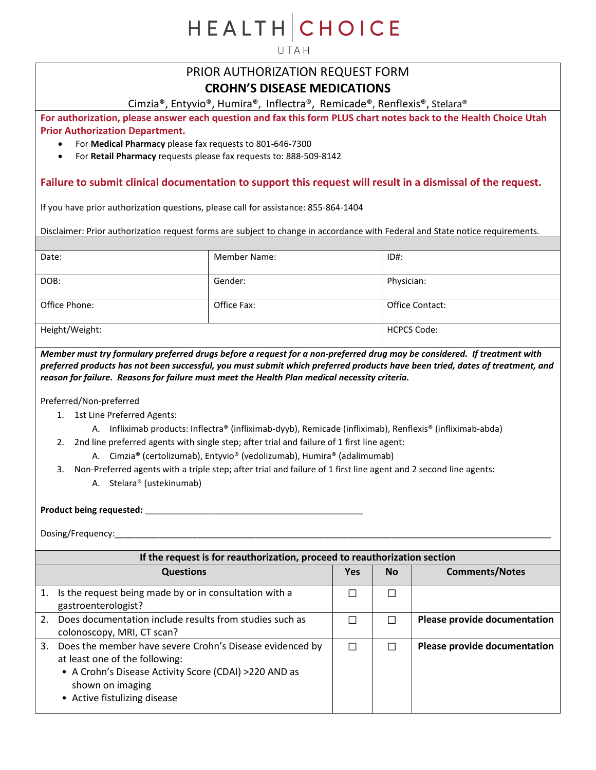UTAH

# PRIOR AUTHORIZATION REQUEST FORM

### **CROHN'S DISEASE MEDICATIONS**

Cimzia®, Entyvio®, Humira®, Inflectra®, Remicade®, Renflexis®, Stelara®

**For authorization, please answer each question and fax this form PLUS chart notes back to the Health Choice Utah Prior Authorization Department.**

- For **Medical Pharmacy** please fax requests to 801-646-7300
- For **Retail Pharmacy** requests please fax requests to: 888-509-8142

### **Failure to submit clinical documentation to support this request will result in a dismissal of the request.**

If you have prior authorization questions, please call for assistance: 855-864-1404

Disclaimer: Prior authorization request forms are subject to change in accordance with Federal and State notice requirements.

| Date:          | <b>Member Name:</b> | $ID#$ :            |
|----------------|---------------------|--------------------|
| DOB:           | Gender:             | Physician:         |
| Office Phone:  | Office Fax:         | Office Contact:    |
| Height/Weight: |                     | <b>HCPCS Code:</b> |

*Member must try formulary preferred drugs before a request for a non-preferred drug may be considered. If treatment with preferred products has not been successful, you must submit which preferred products have been tried, dates of treatment, and reason for failure. Reasons for failure must meet the Health Plan medical necessity criteria.*

Preferred/Non-preferred

- 1. 1st Line Preferred Agents:
	- A. Infliximab products: Inflectra® (infliximab-dyyb), Remicade (infliximab), Renflexis® (infliximab-abda)
- 2. 2nd line preferred agents with single step; after trial and failure of 1 first line agent:
	- A. Cimzia® (certolizumab), Entyvio® (vedolizumab), Humira® (adalimumab)
- 3. Non-Preferred agents with a triple step; after trial and failure of 1 first line agent and 2 second line agents:
	- A. Stelara® (ustekinumab)

#### **Product being requested:** \_\_\_\_\_\_\_\_\_\_\_\_\_\_\_\_\_\_\_\_\_\_\_\_\_\_\_\_\_\_\_\_\_\_\_\_\_\_\_\_\_\_\_\_\_\_\_\_\_\_\_\_\_\_

|    | If the request is for reauthorization, proceed to reauthorization section                                                                                                                               |            |           |                              |  |
|----|---------------------------------------------------------------------------------------------------------------------------------------------------------------------------------------------------------|------------|-----------|------------------------------|--|
|    | <b>Questions</b>                                                                                                                                                                                        | <b>Yes</b> | <b>No</b> | <b>Comments/Notes</b>        |  |
| 1. | Is the request being made by or in consultation with a<br>gastroenterologist?                                                                                                                           |            |           |                              |  |
| 2. | Does documentation include results from studies such as<br>colonoscopy, MRI, CT scan?                                                                                                                   |            |           | Please provide documentation |  |
| 3. | Does the member have severe Crohn's Disease evidenced by<br>at least one of the following:<br>• A Crohn's Disease Activity Score (CDAI) >220 AND as<br>shown on imaging<br>• Active fistulizing disease |            |           | Please provide documentation |  |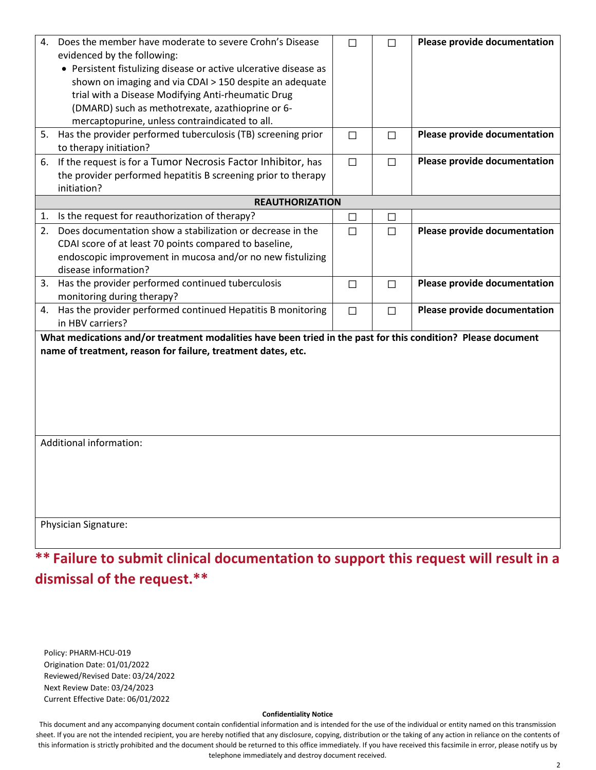| 4. | Does the member have moderate to severe Crohn's Disease<br>evidenced by the following:<br>• Persistent fistulizing disease or active ulcerative disease as<br>shown on imaging and via CDAI > 150 despite an adequate<br>trial with a Disease Modifying Anti-rheumatic Drug<br>(DMARD) such as methotrexate, azathioprine or 6-<br>mercaptopurine, unless contraindicated to all. |        | П      | Please provide documentation |
|----|-----------------------------------------------------------------------------------------------------------------------------------------------------------------------------------------------------------------------------------------------------------------------------------------------------------------------------------------------------------------------------------|--------|--------|------------------------------|
|    | 5. Has the provider performed tuberculosis (TB) screening prior<br>to therapy initiation?                                                                                                                                                                                                                                                                                         | $\Box$ | $\Box$ | Please provide documentation |
| 6. | If the request is for a Tumor Necrosis Factor Inhibitor, has<br>the provider performed hepatitis B screening prior to therapy<br>initiation?                                                                                                                                                                                                                                      | $\Box$ | $\Box$ | Please provide documentation |
|    | <b>REAUTHORIZATION</b>                                                                                                                                                                                                                                                                                                                                                            |        |        |                              |
|    | 1. Is the request for reauthorization of therapy?                                                                                                                                                                                                                                                                                                                                 | $\Box$ | $\Box$ |                              |
| 2. | Does documentation show a stabilization or decrease in the<br>CDAI score of at least 70 points compared to baseline,<br>endoscopic improvement in mucosa and/or no new fistulizing<br>disease information?                                                                                                                                                                        | $\Box$ | П      | Please provide documentation |
|    | 3. Has the provider performed continued tuberculosis<br>monitoring during therapy?                                                                                                                                                                                                                                                                                                | $\Box$ | $\Box$ | Please provide documentation |
| 4. | Has the provider performed continued Hepatitis B monitoring<br>in HBV carriers?                                                                                                                                                                                                                                                                                                   | $\Box$ | $\Box$ | Please provide documentation |
|    | What medications and/or treatment modalities have been tried in the past for this condition? Please document<br>name of treatment, reason for failure, treatment dates, etc.                                                                                                                                                                                                      |        |        |                              |
|    | Additional information:<br>Physician Signature:                                                                                                                                                                                                                                                                                                                                   |        |        |                              |
|    |                                                                                                                                                                                                                                                                                                                                                                                   |        |        |                              |

Policy: PHARM-HCU-019 Origination Date: 01/01/2022 Reviewed/Revised Date: 03/24/2022 Next Review Date: 03/24/2023 Current Effective Date: 06/01/2022

#### **Confidentiality Notice**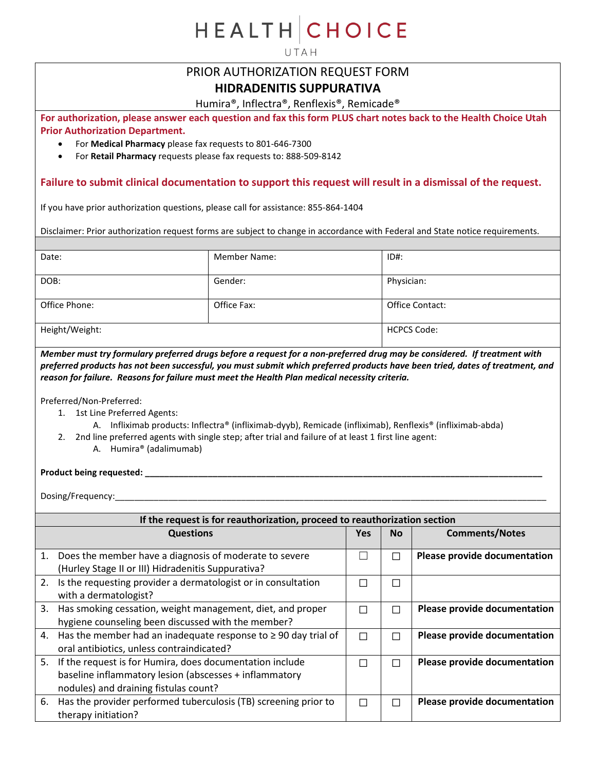UTAH

## PRIOR AUTHORIZATION REQUEST FORM

### **HIDRADENITIS SUPPURATIVA**

Humira®, Inflectra®, Renflexis®, Remicade®

**For authorization, please answer each question and fax this form PLUS chart notes back to the Health Choice Utah Prior Authorization Department.**

- For **Medical Pharmacy** please fax requests to 801-646-7300
- For **Retail Pharmacy** requests please fax requests to: 888-509-8142

### **Failure to submit clinical documentation to support this request will result in a dismissal of the request.**

If you have prior authorization questions, please call for assistance: 855-864-1404

Disclaimer: Prior authorization request forms are subject to change in accordance with Federal and State notice requirements.

| Date:          | <b>Member Name:</b> | $ID#$ :                |
|----------------|---------------------|------------------------|
| DOB:           | Gender:             | Physician:             |
| Office Phone:  | Office Fax:         | <b>Office Contact:</b> |
| Height/Weight: |                     | <b>HCPCS Code:</b>     |

*Member must try formulary preferred drugs before a request for a non-preferred drug may be considered. If treatment with preferred products has not been successful, you must submit which preferred products have been tried, dates of treatment, and reason for failure. Reasons for failure must meet the Health Plan medical necessity criteria.*

Preferred/Non-Preferred:

- 1. 1st Line Preferred Agents:
	- A. Infliximab products: Inflectra® (infliximab-dyyb), Remicade (infliximab), Renflexis® (infliximab-abda)
- 2. 2nd line preferred agents with single step; after trial and failure of at least 1 first line agent:
	- A. Humira® (adalimumab)

#### **Product being requested: \_\_\_\_\_\_\_\_\_\_\_\_\_\_\_\_\_\_\_\_\_\_\_\_\_\_\_\_\_\_\_\_\_\_\_\_\_\_\_\_\_\_\_\_\_\_\_\_\_\_\_\_\_\_\_\_\_\_\_\_\_\_\_\_\_\_\_\_\_\_\_\_\_\_\_\_\_\_\_\_\_\_**

Dosing/Frequency:\_\_\_\_\_\_\_\_\_\_\_\_\_\_\_\_\_\_\_\_\_\_\_\_\_\_\_\_\_\_\_\_\_\_\_\_\_\_\_\_\_\_\_\_\_\_\_\_\_\_\_\_\_\_\_\_\_\_\_\_\_\_\_\_\_\_\_\_\_\_\_\_\_\_\_\_\_\_\_\_\_\_\_\_\_\_\_\_\_

|    | If the request is for reauthorization, proceed to reauthorization section                                                                                   |            |                          |                                     |  |
|----|-------------------------------------------------------------------------------------------------------------------------------------------------------------|------------|--------------------------|-------------------------------------|--|
|    | <b>Questions</b>                                                                                                                                            | <b>Yes</b> | <b>No</b>                | <b>Comments/Notes</b>               |  |
| 1. | Does the member have a diagnosis of moderate to severe<br>(Hurley Stage II or III) Hidradenitis Suppurativa?                                                |            |                          | Please provide documentation        |  |
| 2. | Is the requesting provider a dermatologist or in consultation<br>with a dermatologist?                                                                      |            | $\overline{\phantom{a}}$ |                                     |  |
| 3. | Has smoking cessation, weight management, diet, and proper<br>hygiene counseling been discussed with the member?                                            |            |                          | <b>Please provide documentation</b> |  |
| 4. | Has the member had an inadequate response to $\geq$ 90 day trial of<br>oral antibiotics, unless contraindicated?                                            |            |                          | Please provide documentation        |  |
| 5. | If the request is for Humira, does documentation include<br>baseline inflammatory lesion (abscesses + inflammatory<br>nodules) and draining fistulas count? |            |                          | Please provide documentation        |  |
| 6. | Has the provider performed tuberculosis (TB) screening prior to<br>therapy initiation?                                                                      | П          |                          | Please provide documentation        |  |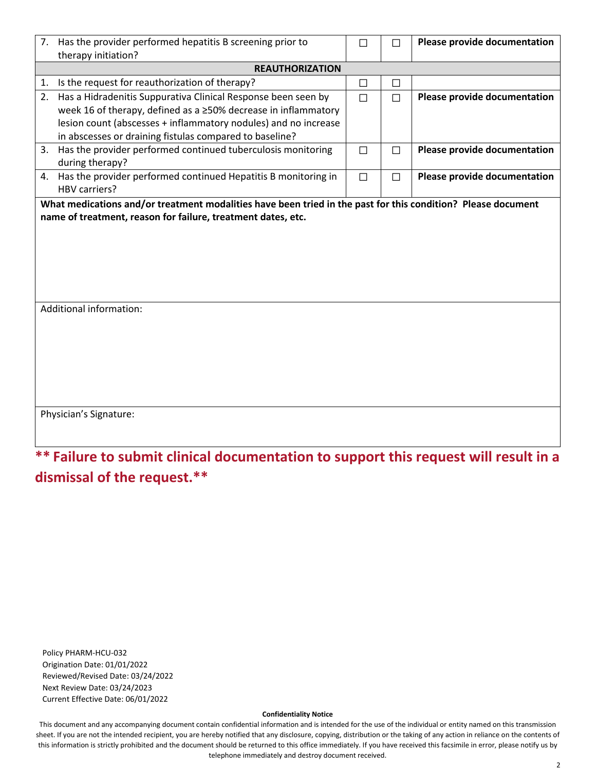|    | 7. Has the provider performed hepatitis B screening prior to<br>therapy initiation?                                                                                                                | □      | $\Box$ | Please provide documentation |  |  |
|----|----------------------------------------------------------------------------------------------------------------------------------------------------------------------------------------------------|--------|--------|------------------------------|--|--|
|    | <b>REAUTHORIZATION</b>                                                                                                                                                                             |        |        |                              |  |  |
| 1. | Is the request for reauthorization of therapy?                                                                                                                                                     | □      | ⊔      |                              |  |  |
| 2. | Has a Hidradenitis Suppurativa Clinical Response been seen by<br>week 16 of therapy, defined as a ≥50% decrease in inflammatory<br>lesion count (abscesses + inflammatory nodules) and no increase | $\Box$ | П      | Please provide documentation |  |  |
|    | in abscesses or draining fistulas compared to baseline?                                                                                                                                            |        |        |                              |  |  |
| 3. | Has the provider performed continued tuberculosis monitoring<br>during therapy?                                                                                                                    | $\Box$ | $\Box$ | Please provide documentation |  |  |
|    | 4. Has the provider performed continued Hepatitis B monitoring in<br><b>HBV carriers?</b>                                                                                                          | $\Box$ | П      | Please provide documentation |  |  |
|    | name of treatment, reason for failure, treatment dates, etc.                                                                                                                                       |        |        |                              |  |  |
|    | Additional information:                                                                                                                                                                            |        |        |                              |  |  |
|    | Physician's Signature:                                                                                                                                                                             |        |        |                              |  |  |

Policy PHARM-HCU-032 Origination Date: 01/01/2022 Reviewed/Revised Date: 03/24/2022 Next Review Date: 03/24/2023 Current Effective Date: 06/01/2022

#### **Confidentiality Notice**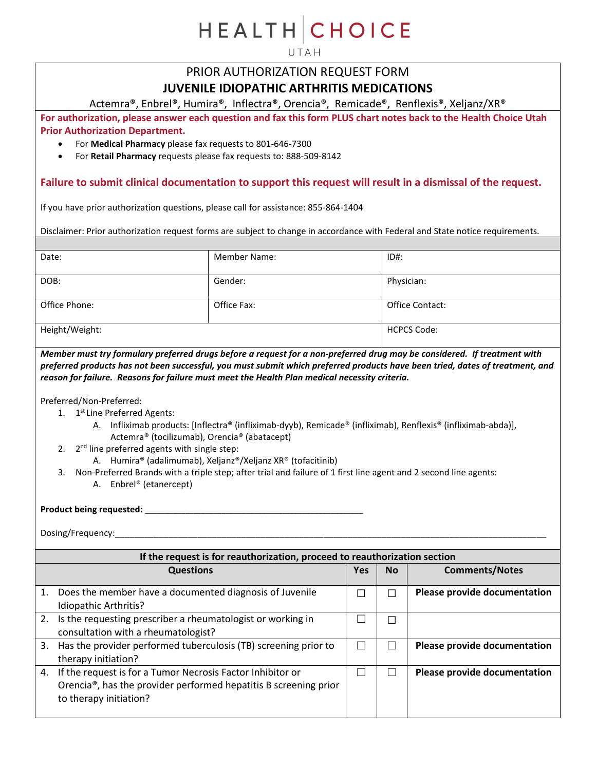UTAH

## PRIOR AUTHORIZATION REQUEST FORM **JUVENILE IDIOPATHIC ARTHRITIS MEDICATIONS**

Actemra®, Enbrel®, Humira®, Inflectra®, Orencia®, Remicade®, Renflexis®, Xeljanz/XR®

**For authorization, please answer each question and fax this form PLUS chart notes back to the Health Choice Utah Prior Authorization Department.**

- For **Medical Pharmacy** please fax requests to 801-646-7300
- For **Retail Pharmacy** requests please fax requests to: 888-509-8142

### **Failure to submit clinical documentation to support this request will result in a dismissal of the request.**

If you have prior authorization questions, please call for assistance: 855-864-1404

Disclaimer: Prior authorization request forms are subject to change in accordance with Federal and State notice requirements.

| Date:          | <b>Member Name:</b> | $ID#$ :                |
|----------------|---------------------|------------------------|
| DOB:           | Gender:             | Physician:             |
| Office Phone:  | Office Fax:         | <b>Office Contact:</b> |
| Height/Weight: |                     | <b>HCPCS Code:</b>     |

*Member must try formulary preferred drugs before a request for a non-preferred drug may be considered. If treatment with preferred products has not been successful, you must submit which preferred products have been tried, dates of treatment, and reason for failure. Reasons for failure must meet the Health Plan medical necessity criteria.*

Preferred/Non-Preferred:

- 1. 1<sup>st</sup> Line Preferred Agents:
	- A. Infliximab products: [Inflectra® (infliximab-dyyb), Remicade® (infliximab), Renflexis® (infliximab-abda)], Actemra® (tocilizumab), Orencia® (abatacept)
- 2.  $2^{nd}$  line preferred agents with single step:
	- A. Humira® (adalimumab), Xeljanz®/Xeljanz XR® (tofacitinib)
- 3. Non-Preferred Brands with a triple step; after trial and failure of 1 first line agent and 2 second line agents:
	- A. Enbrel® (etanercept)

**Product being requested:** \_\_\_\_\_\_\_\_\_\_\_\_\_\_\_\_\_\_\_\_\_\_\_\_\_\_\_\_\_\_\_\_\_\_\_\_\_\_\_\_\_\_\_\_\_\_\_\_\_\_\_\_\_\_

|    | If the request is for reauthorization, proceed to reauthorization section                                                                                                |     |           |                              |  |
|----|--------------------------------------------------------------------------------------------------------------------------------------------------------------------------|-----|-----------|------------------------------|--|
|    | <b>Questions</b>                                                                                                                                                         | Yes | <b>No</b> | <b>Comments/Notes</b>        |  |
|    | Does the member have a documented diagnosis of Juvenile<br>Idiopathic Arthritis?                                                                                         | ш   |           | Please provide documentation |  |
|    | 2. Is the requesting prescriber a rheumatologist or working in<br>consultation with a rheumatologist?                                                                    |     |           |                              |  |
| 3. | Has the provider performed tuberculosis (TB) screening prior to<br>therapy initiation?                                                                                   |     |           | Please provide documentation |  |
|    | 4. If the request is for a Tumor Necrosis Factor Inhibitor or<br>Orencia <sup>®</sup> , has the provider performed hepatitis B screening prior<br>to therapy initiation? |     |           | Please provide documentation |  |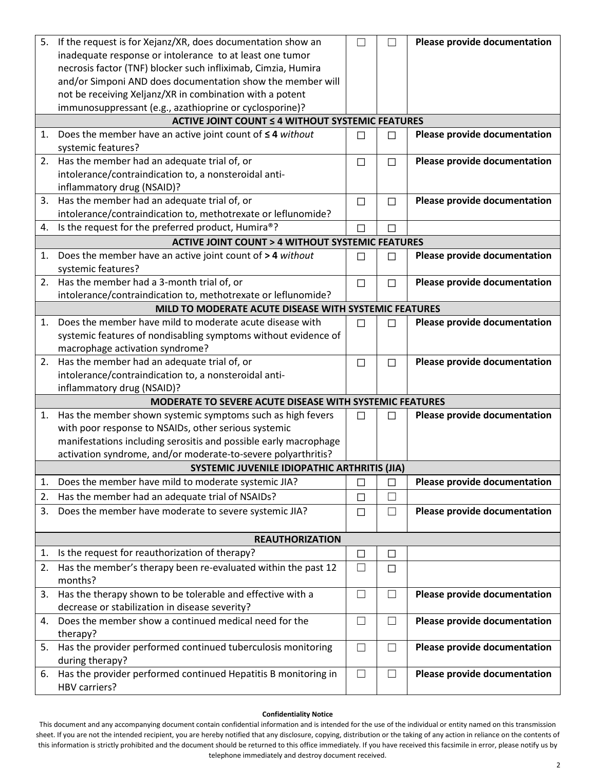| 5. | If the request is for Xejanz/XR, does documentation show an                     | $\Box$ |                   | Please provide documentation |
|----|---------------------------------------------------------------------------------|--------|-------------------|------------------------------|
|    | inadequate response or intolerance to at least one tumor                        |        |                   |                              |
|    | necrosis factor (TNF) blocker such infliximab, Cimzia, Humira                   |        |                   |                              |
|    | and/or Simponi AND does documentation show the member will                      |        |                   |                              |
|    | not be receiving Xeljanz/XR in combination with a potent                        |        |                   |                              |
|    | immunosuppressant (e.g., azathioprine or cyclosporine)?                         |        |                   |                              |
|    | <b>ACTIVE JOINT COUNT ≤ 4 WITHOUT SYSTEMIC FEATURES</b>                         |        |                   |                              |
| 1. | Does the member have an active joint count of $\leq$ 4 without                  | $\Box$ | $\Box$            | Please provide documentation |
|    | systemic features?                                                              |        |                   |                              |
| 2. | Has the member had an adequate trial of, or                                     | $\Box$ | $\Box$            | Please provide documentation |
|    | intolerance/contraindication to, a nonsteroidal anti-                           |        |                   |                              |
|    | inflammatory drug (NSAID)?                                                      |        |                   |                              |
| 3. | Has the member had an adequate trial of, or                                     | $\Box$ | П                 | Please provide documentation |
|    | intolerance/contraindication to, methotrexate or leflunomide?                   |        |                   |                              |
| 4. | Is the request for the preferred product, Humira®?                              | П      |                   |                              |
|    | <b>ACTIVE JOINT COUNT &gt; 4 WITHOUT SYSTEMIC FEATURES</b>                      |        |                   |                              |
| 1. | Does the member have an active joint count of > 4 without                       | $\Box$ | П                 | Please provide documentation |
|    | systemic features?                                                              |        |                   |                              |
| 2. | Has the member had a 3-month trial of, or                                       | $\Box$ | $\Box$            | Please provide documentation |
|    | intolerance/contraindication to, methotrexate or leflunomide?                   |        |                   |                              |
|    | MILD TO MODERATE ACUTE DISEASE WITH SYSTEMIC FEATURES                           |        |                   |                              |
|    | 1. Does the member have mild to moderate acute disease with                     | $\Box$ | П                 | Please provide documentation |
|    | systemic features of nondisabling symptoms without evidence of                  |        |                   |                              |
|    | macrophage activation syndrome?                                                 |        |                   |                              |
|    | 2. Has the member had an adequate trial of, or                                  | $\Box$ | □                 | Please provide documentation |
|    | intolerance/contraindication to, a nonsteroidal anti-                           |        |                   |                              |
|    | inflammatory drug (NSAID)?                                                      |        |                   |                              |
|    | MODERATE TO SEVERE ACUTE DISEASE WITH SYSTEMIC FEATURES                         |        |                   |                              |
| 1. | Has the member shown systemic symptoms such as high fevers                      | $\Box$ | П                 | Please provide documentation |
|    | with poor response to NSAIDs, other serious systemic                            |        |                   |                              |
|    | manifestations including serositis and possible early macrophage                |        |                   |                              |
|    | activation syndrome, and/or moderate-to-severe polyarthritis?                   |        |                   |                              |
|    | SYSTEMIC JUVENILE IDIOPATHIC ARTHRITIS (JIA)                                    |        |                   |                              |
| 1. | Does the member have mild to moderate systemic JIA?                             | $\Box$ | П                 | Please provide documentation |
| 2. | Has the member had an adequate trial of NSAIDs?                                 | $\Box$ | $\vert$           |                              |
| 3. | Does the member have moderate to severe systemic JIA?                           | $\Box$ |                   | Please provide documentation |
|    |                                                                                 |        |                   |                              |
|    | <b>REAUTHORIZATION</b>                                                          |        |                   |                              |
| 1. | Is the request for reauthorization of therapy?                                  | $\Box$ | $\Box$            |                              |
| 2. | Has the member's therapy been re-evaluated within the past 12                   | $\Box$ | $\Box$            |                              |
|    | months?                                                                         |        |                   |                              |
| 3. | Has the therapy shown to be tolerable and effective with a                      | $\Box$ | H                 | Please provide documentation |
|    | decrease or stabilization in disease severity?                                  |        |                   |                              |
|    |                                                                                 |        |                   |                              |
| 4. | Does the member show a continued medical need for the                           | $\Box$ | $\vert \ \ \vert$ | Please provide documentation |
|    | therapy?                                                                        |        |                   |                              |
| 5. | Has the provider performed continued tuberculosis monitoring                    | $\Box$ | $\mathcal{L}$     | Please provide documentation |
|    | during therapy?                                                                 |        |                   |                              |
| 6. | Has the provider performed continued Hepatitis B monitoring in<br>HBV carriers? | $\Box$ | ×                 | Please provide documentation |

#### **Confidentiality Notice**

This document and any accompanying document contain confidential information and is intended for the use of the individual or entity named on this transmission sheet. If you are not the intended recipient, you are hereby notified that any disclosure, copying, distribution or the taking of any action in reliance on the contents of this information is strictly prohibited and the document should be returned to this office immediately. If you have received this facsimile in error, please notify us by telephone immediately and destroy document received.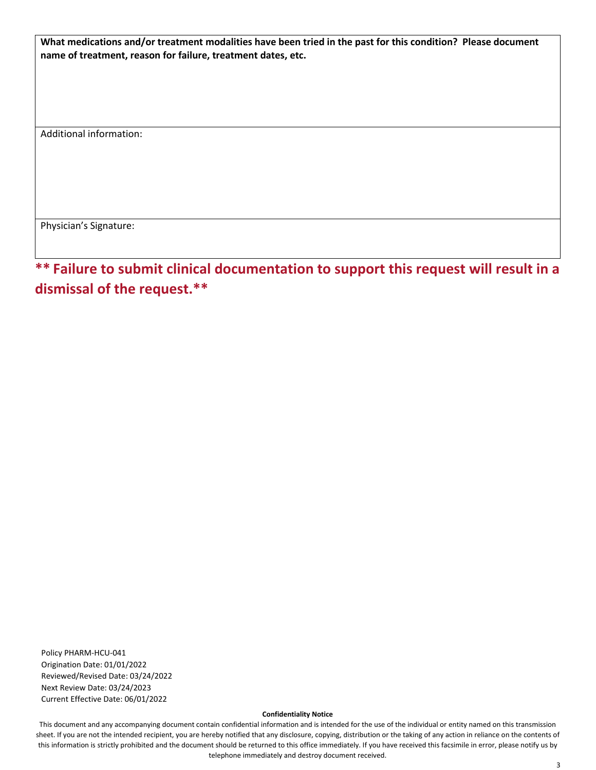**What medications and/or treatment modalities have been tried in the past for this condition? Please document name of treatment, reason for failure, treatment dates, etc.**

Additional information:

Physician's Signature:

**\*\* Failure to submit clinical documentation to support this request will result in a dismissal of the request.\*\***

Policy PHARM-HCU-041 Origination Date: 01/01/2022 Reviewed/Revised Date: 03/24/2022 Next Review Date: 03/24/2023 Current Effective Date: 06/01/2022

#### **Confidentiality Notice**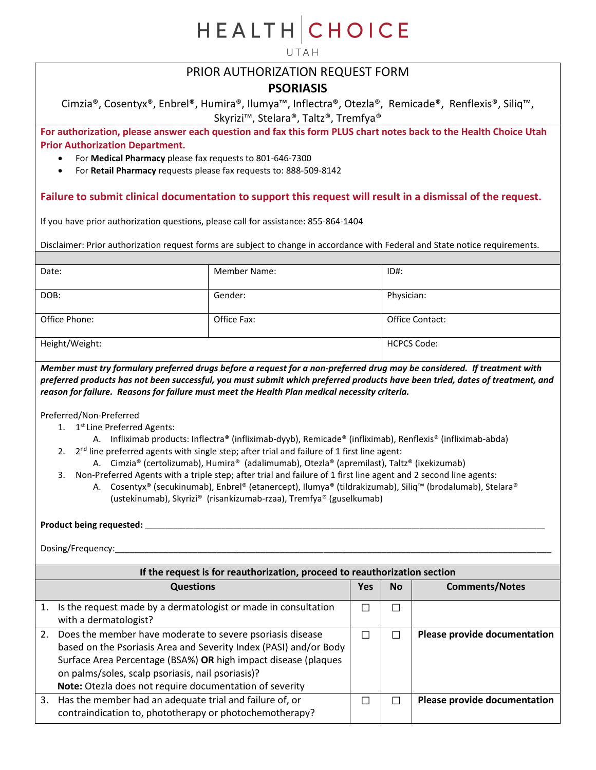UTAH

## PRIOR AUTHORIZATION REQUEST FORM

### **PSORIASIS**

Cimzia®, Cosentyx®, Enbrel®, Humira®, Ilumya™, Inflectra®, Otezla®, Remicade®, Renflexis®, Siliq™, Skyrizi™, Stelara®, Taltz®, Tremfya®

**For authorization, please answer each question and fax this form PLUS chart notes back to the Health Choice Utah Prior Authorization Department.**

- For **Medical Pharmacy** please fax requests to 801-646-7300
- For **Retail Pharmacy** requests please fax requests to: 888-509-8142

#### **Failure to submit clinical documentation to support this request will result in a dismissal of the request.**

If you have prior authorization questions, please call for assistance: 855-864-1404

Disclaimer: Prior authorization request forms are subject to change in accordance with Federal and State notice requirements.

| Date:          | <b>Member Name:</b> | $ID#$ :            |
|----------------|---------------------|--------------------|
| DOB:           | Gender:             | Physician:         |
| Office Phone:  | Office Fax:         | Office Contact:    |
| Height/Weight: |                     | <b>HCPCS Code:</b> |

*Member must try formulary preferred drugs before a request for a non-preferred drug may be considered. If treatment with preferred products has not been successful, you must submit which preferred products have been tried, dates of treatment, and reason for failure. Reasons for failure must meet the Health Plan medical necessity criteria.*

Preferred/Non-Preferred

- 1. 1<sup>st</sup> Line Preferred Agents:
	- A. Infliximab products: Inflectra® (infliximab-dyyb), Remicade® (infliximab), Renflexis® (infliximab-abda)
- 2.  $2^{nd}$  line preferred agents with single step; after trial and failure of 1 first line agent:
	- A. Cimzia® (certolizumab), Humira® (adalimumab), Otezla® (apremilast), Taltz® (ixekizumab)
- 3. Non-Preferred Agents with a triple step; after trial and failure of 1 first line agent and 2 second line agents:
	- A. Cosentyx® (secukinumab), Enbrel® (etanercept), Ilumya® (tildrakizumab), Siliq™ (brodalumab), Stelara® (ustekinumab), Skyrizi® (risankizumab-rzaa), Tremfya® (guselkumab)

#### **Product being requested:** \_\_\_\_\_\_\_\_\_\_\_\_\_\_\_\_\_\_\_\_\_\_\_\_\_\_\_\_\_\_\_\_\_\_\_\_\_\_\_\_\_\_\_\_\_\_\_\_\_\_\_\_\_\_\_\_\_\_\_\_\_\_\_\_\_\_\_\_\_\_\_\_\_\_\_\_\_\_\_\_\_\_\_\_\_\_\_\_\_\_\_\_\_\_\_\_\_\_\_

|    | If the request is for reauthorization, proceed to reauthorization section                                                                                                                                                                                                                                        |     |           |                              |  |
|----|------------------------------------------------------------------------------------------------------------------------------------------------------------------------------------------------------------------------------------------------------------------------------------------------------------------|-----|-----------|------------------------------|--|
|    | <b>Questions</b>                                                                                                                                                                                                                                                                                                 | Yes | <b>No</b> | <b>Comments/Notes</b>        |  |
|    | Is the request made by a dermatologist or made in consultation<br>with a dermatologist?                                                                                                                                                                                                                          |     | □         |                              |  |
| 2. | Does the member have moderate to severe psoriasis disease<br>based on the Psoriasis Area and Severity Index (PASI) and/or Body<br>Surface Area Percentage (BSA%) OR high impact disease (plaques<br>on palms/soles, scalp psoriasis, nail psoriasis)?<br>Note: Otezla does not require documentation of severity |     | $\sim$    | Please provide documentation |  |
| 3. | Has the member had an adequate trial and failure of, or<br>contraindication to, phototherapy or photochemotherapy?                                                                                                                                                                                               |     |           | Please provide documentation |  |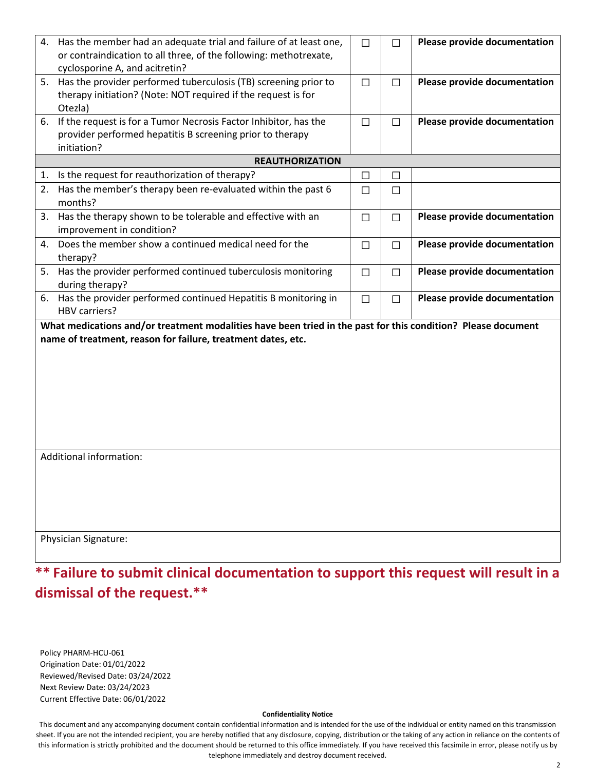|                                                                                                                                                                              | 4. Has the member had an adequate trial and failure of at least one,<br>or contraindication to all three, of the following: methotrexate,<br>cyclosporine A, and acitretin? | $\Box$ |        | Please provide documentation |  |
|------------------------------------------------------------------------------------------------------------------------------------------------------------------------------|-----------------------------------------------------------------------------------------------------------------------------------------------------------------------------|--------|--------|------------------------------|--|
|                                                                                                                                                                              | 5. Has the provider performed tuberculosis (TB) screening prior to<br>therapy initiation? (Note: NOT required if the request is for<br>Otezla)                              | $\Box$ | П      | Please provide documentation |  |
|                                                                                                                                                                              | 6. If the request is for a Tumor Necrosis Factor Inhibitor, has the<br>provider performed hepatitis B screening prior to therapy<br>initiation?                             | $\Box$ | $\Box$ | Please provide documentation |  |
|                                                                                                                                                                              | <b>REAUTHORIZATION</b>                                                                                                                                                      |        |        |                              |  |
| 1.                                                                                                                                                                           | Is the request for reauthorization of therapy?                                                                                                                              | $\Box$ | $\Box$ |                              |  |
| 2.                                                                                                                                                                           | Has the member's therapy been re-evaluated within the past 6<br>months?                                                                                                     | □      | $\Box$ |                              |  |
| 3.                                                                                                                                                                           | Has the therapy shown to be tolerable and effective with an<br>improvement in condition?                                                                                    | П      | П      | Please provide documentation |  |
|                                                                                                                                                                              | 4. Does the member show a continued medical need for the<br>therapy?                                                                                                        | $\Box$ | $\Box$ | Please provide documentation |  |
| 5.                                                                                                                                                                           | Has the provider performed continued tuberculosis monitoring<br>during therapy?                                                                                             | $\Box$ | П      | Please provide documentation |  |
| 6.                                                                                                                                                                           | Has the provider performed continued Hepatitis B monitoring in<br><b>HBV carriers?</b>                                                                                      | П      | П      | Please provide documentation |  |
| What medications and/or treatment modalities have been tried in the past for this condition? Please document<br>name of treatment, reason for failure, treatment dates, etc. |                                                                                                                                                                             |        |        |                              |  |
|                                                                                                                                                                              | Additional information:                                                                                                                                                     |        |        |                              |  |
|                                                                                                                                                                              | <b>Physician Signature:</b>                                                                                                                                                 |        |        |                              |  |

Policy PHARM-HCU-061 Origination Date: 01/01/2022 Reviewed/Revised Date: 03/24/2022 Next Review Date: 03/24/2023 Current Effective Date: 06/01/2022

#### **Confidentiality Notice**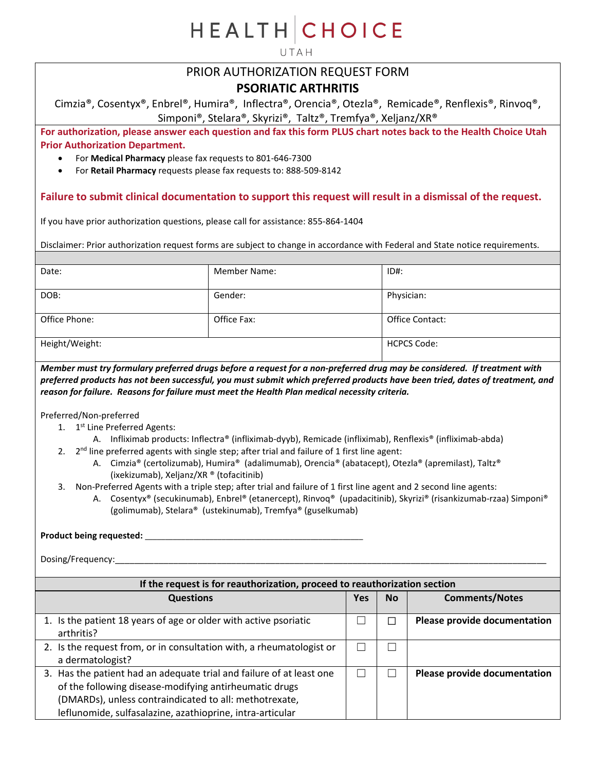UTAH

## PRIOR AUTHORIZATION REQUEST FORM

### **PSORIATIC ARTHRITIS**

Cimzia®, Cosentyx®, Enbrel®, Humira®, Inflectra®, Orencia®, Otezla®, Remicade®, Renflexis®, Rinvoq®, Simponi®, Stelara®, Skyrizi®, Taltz®, Tremfya®, Xeljanz/XR®

**For authorization, please answer each question and fax this form PLUS chart notes back to the Health Choice Utah Prior Authorization Department.**

- For **Medical Pharmacy** please fax requests to 801-646-7300
- For **Retail Pharmacy** requests please fax requests to: 888-509-8142

#### **Failure to submit clinical documentation to support this request will result in a dismissal of the request.**

If you have prior authorization questions, please call for assistance: 855-864-1404

Disclaimer: Prior authorization request forms are subject to change in accordance with Federal and State notice requirements.

| Date:          | <b>Member Name:</b> | $ID#$ :            |
|----------------|---------------------|--------------------|
| DOB:           | Gender:             | Physician:         |
| Office Phone:  | Office Fax:         | Office Contact:    |
| Height/Weight: |                     | <b>HCPCS Code:</b> |

*Member must try formulary preferred drugs before a request for a non-preferred drug may be considered. If treatment with preferred products has not been successful, you must submit which preferred products have been tried, dates of treatment, and reason for failure. Reasons for failure must meet the Health Plan medical necessity criteria.*

Preferred/Non-preferred

- 1. 1<sup>st</sup> Line Preferred Agents:
	- A. Infliximab products: Inflectra® (infliximab-dyyb), Remicade (infliximab), Renflexis® (infliximab-abda)
- 2.  $2^{nd}$  line preferred agents with single step; after trial and failure of 1 first line agent:
	- A. Cimzia® (certolizumab), Humira® (adalimumab), Orencia® (abatacept), Otezla® (apremilast), Taltz® (ixekizumab), Xeljanz/XR ® (tofacitinib)
- 3. Non-Preferred Agents with a triple step; after trial and failure of 1 first line agent and 2 second line agents:
	- A. Cosentyx® (secukinumab), Enbrel® (etanercept), Rinvoq® (upadacitinib), Skyrizi® (risankizumab-rzaa) Simponi® (golimumab), Stelara® (ustekinumab), Tremfya® (guselkumab)

#### **Product being requested:** \_\_\_\_\_\_\_\_\_\_\_\_\_\_\_\_\_\_\_\_\_\_\_\_\_\_\_\_\_\_\_\_\_\_\_\_\_\_\_\_\_\_\_\_\_\_\_\_\_\_\_\_\_\_

| If the request is for reauthorization, proceed to reauthorization section                                                                                                                                                                             |     |           |                              |  |
|-------------------------------------------------------------------------------------------------------------------------------------------------------------------------------------------------------------------------------------------------------|-----|-----------|------------------------------|--|
| <b>Questions</b>                                                                                                                                                                                                                                      | Yes | <b>No</b> | <b>Comments/Notes</b>        |  |
| 1. Is the patient 18 years of age or older with active psoriatic<br>arthritis?                                                                                                                                                                        |     |           | Please provide documentation |  |
| 2. Is the request from, or in consultation with, a rheumatologist or<br>a dermatologist?                                                                                                                                                              |     |           |                              |  |
| 3. Has the patient had an adequate trial and failure of at least one<br>of the following disease-modifying antirheumatic drugs<br>(DMARDs), unless contraindicated to all: methotrexate,<br>leflunomide, sulfasalazine, azathioprine, intra-articular |     |           | Please provide documentation |  |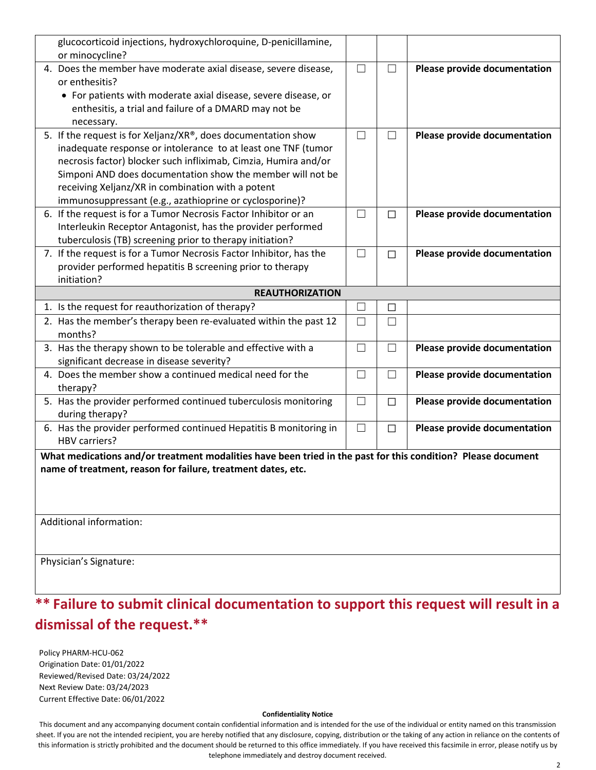| glucocorticoid injections, hydroxychloroquine, D-penicillamine,<br>or minocycline?                           |        |        |                              |
|--------------------------------------------------------------------------------------------------------------|--------|--------|------------------------------|
| 4. Does the member have moderate axial disease, severe disease,                                              | $\Box$ | $\Box$ | Please provide documentation |
| or enthesitis?                                                                                               |        |        |                              |
| • For patients with moderate axial disease, severe disease, or                                               |        |        |                              |
| enthesitis, a trial and failure of a DMARD may not be                                                        |        |        |                              |
| necessary.                                                                                                   |        |        |                              |
| 5. If the request is for Xeljanz/XR®, does documentation show                                                | $\Box$ | $\Box$ | Please provide documentation |
| inadequate response or intolerance to at least one TNF (tumor                                                |        |        |                              |
| necrosis factor) blocker such infliximab, Cimzia, Humira and/or                                              |        |        |                              |
| Simponi AND does documentation show the member will not be                                                   |        |        |                              |
| receiving Xeljanz/XR in combination with a potent                                                            |        |        |                              |
| immunosuppressant (e.g., azathioprine or cyclosporine)?                                                      |        |        |                              |
| 6. If the request is for a Tumor Necrosis Factor Inhibitor or an                                             | $\Box$ | П      | Please provide documentation |
| Interleukin Receptor Antagonist, has the provider performed                                                  |        |        |                              |
| tuberculosis (TB) screening prior to therapy initiation?                                                     |        |        |                              |
| 7. If the request is for a Tumor Necrosis Factor Inhibitor, has the                                          | $\Box$ | $\Box$ | Please provide documentation |
| provider performed hepatitis B screening prior to therapy                                                    |        |        |                              |
| initiation?                                                                                                  |        |        |                              |
| <b>REAUTHORIZATION</b>                                                                                       |        |        |                              |
| 1. Is the request for reauthorization of therapy?                                                            | $\Box$ | □      |                              |
| 2. Has the member's therapy been re-evaluated within the past 12                                             | $\Box$ | $\Box$ |                              |
| months?                                                                                                      |        |        |                              |
| 3. Has the therapy shown to be tolerable and effective with a                                                | $\Box$ | $\Box$ | Please provide documentation |
| significant decrease in disease severity?                                                                    |        |        |                              |
| 4. Does the member show a continued medical need for the                                                     | $\Box$ | $\Box$ | Please provide documentation |
| therapy?                                                                                                     |        |        |                              |
| 5. Has the provider performed continued tuberculosis monitoring                                              | $\Box$ | $\Box$ | Please provide documentation |
| during therapy?                                                                                              |        |        |                              |
| 6. Has the provider performed continued Hepatitis B monitoring in                                            | $\Box$ | $\Box$ | Please provide documentation |
| HBV carriers?                                                                                                |        |        |                              |
| What medications and/or treatment modalities have been tried in the past for this condition? Please document |        |        |                              |
| name of treatment, reason for failure, treatment dates, etc.                                                 |        |        |                              |
|                                                                                                              |        |        |                              |
|                                                                                                              |        |        |                              |
|                                                                                                              |        |        |                              |
| Additional information:                                                                                      |        |        |                              |
|                                                                                                              |        |        |                              |
| Physician's Signature:                                                                                       |        |        |                              |
|                                                                                                              |        |        |                              |
|                                                                                                              |        |        |                              |

Policy PHARM-HCU-062 Origination Date: 01/01/2022 Reviewed/Revised Date: 03/24/2022 Next Review Date: 03/24/2023 Current Effective Date: 06/01/2022

#### **Confidentiality Notice**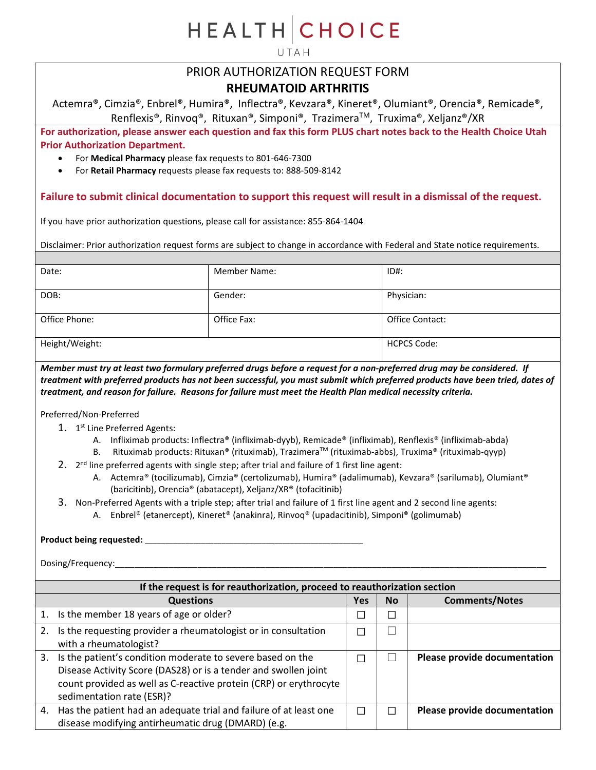UTAH

## PRIOR AUTHORIZATION REQUEST FORM **RHEUMATOID ARTHRITIS**

Actemra®, Cimzia®, Enbrel®, Humira®, Inflectra®, Kevzara®, Kineret®, Olumiant®, Orencia®, Remicade®, Renflexis®, Rinvoq®, Rituxan®, Simponi®, TrazimeraTM, Truxima®, Xeljanz®/XR

**For authorization, please answer each question and fax this form PLUS chart notes back to the Health Choice Utah Prior Authorization Department.**

- For **Medical Pharmacy** please fax requests to 801-646-7300
- For **Retail Pharmacy** requests please fax requests to: 888-509-8142

#### **Failure to submit clinical documentation to support this request will result in a dismissal of the request.**

If you have prior authorization questions, please call for assistance: 855-864-1404

Disclaimer: Prior authorization request forms are subject to change in accordance with Federal and State notice requirements.

| Date:          | <b>Member Name:</b> | $ID#$ :            |
|----------------|---------------------|--------------------|
| DOB:           | Gender:             | Physician:         |
| Office Phone:  | Office Fax:         | Office Contact:    |
| Height/Weight: |                     | <b>HCPCS Code:</b> |

*Member must try at least two formulary preferred drugs before a request for a non-preferred drug may be considered. If treatment with preferred products has not been successful, you must submit which preferred products have been tried, dates of treatment, and reason for failure. Reasons for failure must meet the Health Plan medical necessity criteria.*

Preferred/Non-Preferred

- 1. 1<sup>st</sup> Line Preferred Agents:
	- A. Infliximab products: Inflectra® (infliximab-dyyb), Remicade® (infliximab), Renflexis® (infliximab-abda)
	- B. Rituximab products: Rituxan® (rituximab), Trazimera™ (rituximab-abbs), Truxima® (rituximab-qyyp)

2.  $2^{nd}$  line preferred agents with single step; after trial and failure of 1 first line agent:

- A. Actemra® (tocilizumab), Cimzia® (certolizumab), Humira® (adalimumab), Kevzara® (sarilumab), Olumiant® (baricitinb), Orencia® (abatacept), Xeljanz/XR® (tofacitinib)
- 3. Non-Preferred Agents with a triple step; after trial and failure of 1 first line agent and 2 second line agents:
	- A. Enbrel® (etanercept), Kineret® (anakinra), Rinvoq® (upadacitinib), Simponi® (golimumab)

### **Product being requested:** \_\_\_\_\_\_\_\_\_\_\_\_\_\_\_\_\_\_\_\_\_\_\_\_\_\_\_\_\_\_\_\_\_\_\_\_\_\_\_\_\_\_\_\_\_\_\_\_\_\_\_\_\_\_

|    | If the request is for reauthorization, proceed to reauthorization section                                                                                                                                                       |        |           |                              |  |
|----|---------------------------------------------------------------------------------------------------------------------------------------------------------------------------------------------------------------------------------|--------|-----------|------------------------------|--|
|    | <b>Questions</b>                                                                                                                                                                                                                | Yes    | <b>No</b> | <b>Comments/Notes</b>        |  |
| 1. | Is the member 18 years of age or older?                                                                                                                                                                                         |        |           |                              |  |
|    | Is the requesting provider a rheumatologist or in consultation<br>with a rheumatologist?                                                                                                                                        |        |           |                              |  |
| 3. | Is the patient's condition moderate to severe based on the<br>Disease Activity Score (DAS28) or is a tender and swollen joint<br>count provided as well as C-reactive protein (CRP) or erythrocyte<br>sedimentation rate (ESR)? |        |           | Please provide documentation |  |
| 4. | Has the patient had an adequate trial and failure of at least one<br>disease modifying antirheumatic drug (DMARD) (e.g.                                                                                                         | $\sim$ |           | Please provide documentation |  |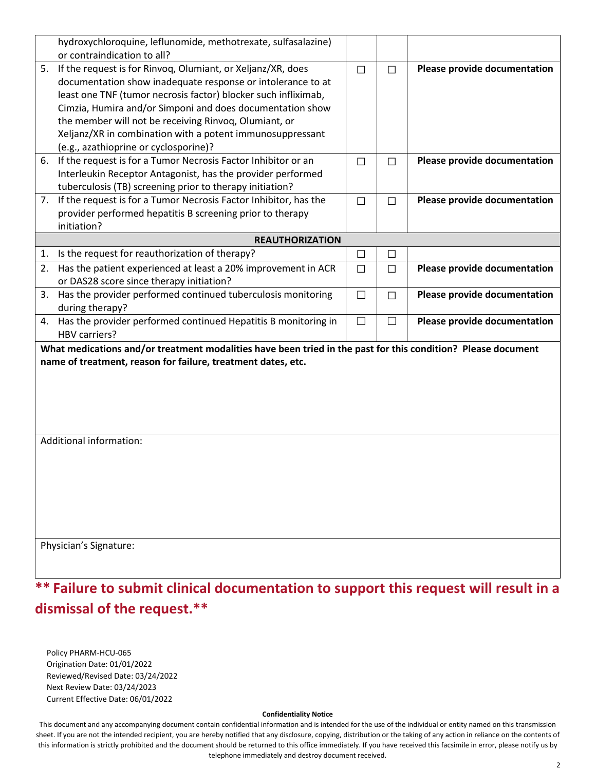|    | hydroxychloroquine, leflunomide, methotrexate, sulfasalazine)                                                |              |        |                              |
|----|--------------------------------------------------------------------------------------------------------------|--------------|--------|------------------------------|
|    | or contraindication to all?                                                                                  |              |        |                              |
| 5. | If the request is for Rinvoq, Olumiant, or Xeljanz/XR, does                                                  | $\Box$       | $\Box$ | Please provide documentation |
|    | documentation show inadequate response or intolerance to at                                                  |              |        |                              |
|    | least one TNF (tumor necrosis factor) blocker such infliximab,                                               |              |        |                              |
|    | Cimzia, Humira and/or Simponi and does documentation show                                                    |              |        |                              |
|    | the member will not be receiving Rinvoq, Olumiant, or                                                        |              |        |                              |
|    | Xeljanz/XR in combination with a potent immunosuppressant                                                    |              |        |                              |
|    | (e.g., azathioprine or cyclosporine)?                                                                        |              |        |                              |
| 6. | If the request is for a Tumor Necrosis Factor Inhibitor or an                                                | $\Box$       | П      | Please provide documentation |
|    | Interleukin Receptor Antagonist, has the provider performed                                                  |              |        |                              |
|    | tuberculosis (TB) screening prior to therapy initiation?                                                     |              |        |                              |
|    | 7. If the request is for a Tumor Necrosis Factor Inhibitor, has the                                          | $\Box$       | $\Box$ | Please provide documentation |
|    | provider performed hepatitis B screening prior to therapy                                                    |              |        |                              |
|    | initiation?                                                                                                  |              |        |                              |
|    | <b>REAUTHORIZATION</b>                                                                                       |              |        |                              |
| 1. | Is the request for reauthorization of therapy?                                                               | $\Box$       | □      |                              |
| 2. | Has the patient experienced at least a 20% improvement in ACR                                                | $\Box$       | $\Box$ | Please provide documentation |
|    | or DAS28 score since therapy initiation?                                                                     |              |        |                              |
| 3. | Has the provider performed continued tuberculosis monitoring                                                 | $\mathbf{L}$ | П      | Please provide documentation |
|    | during therapy?                                                                                              |              |        |                              |
|    | 4. Has the provider performed continued Hepatitis B monitoring in                                            | $\Box$       | $\Box$ | Please provide documentation |
|    | HBV carriers?                                                                                                |              |        |                              |
|    | What medications and/or treatment modalities have been tried in the past for this condition? Please document |              |        |                              |
|    | name of treatment, reason for failure, treatment dates, etc.                                                 |              |        |                              |
|    |                                                                                                              |              |        |                              |
|    |                                                                                                              |              |        |                              |
|    |                                                                                                              |              |        |                              |
|    |                                                                                                              |              |        |                              |
|    |                                                                                                              |              |        |                              |
|    | Additional information:                                                                                      |              |        |                              |
|    |                                                                                                              |              |        |                              |
|    |                                                                                                              |              |        |                              |
|    |                                                                                                              |              |        |                              |
|    |                                                                                                              |              |        |                              |
|    |                                                                                                              |              |        |                              |
|    |                                                                                                              |              |        |                              |
|    |                                                                                                              |              |        |                              |
|    | Physician's Signature:                                                                                       |              |        |                              |
|    |                                                                                                              |              |        |                              |
|    |                                                                                                              |              |        |                              |

Policy PHARM-HCU-065 Origination Date: 01/01/2022 Reviewed/Revised Date: 03/24/2022 Next Review Date: 03/24/2023 Current Effective Date: 06/01/2022

#### **Confidentiality Notice**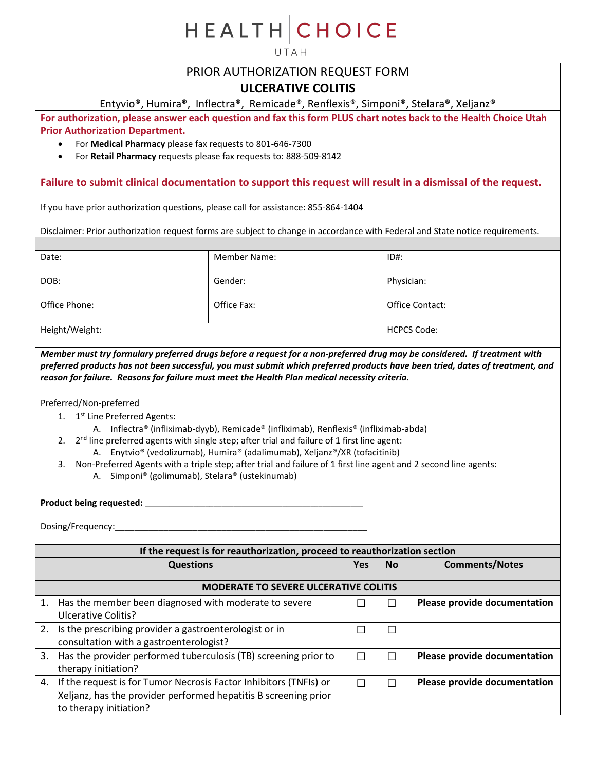UTAH

## PRIOR AUTHORIZATION REQUEST FORM

### **ULCERATIVE COLITIS**

Entyvio®, Humira®, Inflectra®, Remicade®, Renflexis®, Simponi®, Stelara®, Xeljanz®

**For authorization, please answer each question and fax this form PLUS chart notes back to the Health Choice Utah Prior Authorization Department.**

- For **Medical Pharmacy** please fax requests to 801-646-7300
- For **Retail Pharmacy** requests please fax requests to: 888-509-8142

#### **Failure to submit clinical documentation to support this request will result in a dismissal of the request.**

If you have prior authorization questions, please call for assistance: 855-864-1404

Disclaimer: Prior authorization request forms are subject to change in accordance with Federal and State notice requirements.

| Date:          | <b>Member Name:</b> | $ID#$ :            |
|----------------|---------------------|--------------------|
| DOB:           | Gender:             | Physician:         |
| Office Phone:  | Office Fax:         | Office Contact:    |
| Height/Weight: |                     | <b>HCPCS Code:</b> |

*Member must try formulary preferred drugs before a request for a non-preferred drug may be considered. If treatment with preferred products has not been successful, you must submit which preferred products have been tried, dates of treatment, and reason for failure. Reasons for failure must meet the Health Plan medical necessity criteria.*

Preferred/Non-preferred

- 1. 1<sup>st</sup> Line Preferred Agents:
	- A. Inflectra® (infliximab-dyyb), Remicade® (infliximab), Renflexis® (infliximab-abda)
- 2.  $2^{nd}$  line preferred agents with single step; after trial and failure of 1 first line agent:
	- A. Enytvio® (vedolizumab), Humira® (adalimumab), Xeljanz®/XR (tofacitinib)
- 3. Non-Preferred Agents with a triple step; after trial and failure of 1 first line agent and 2 second line agents: A. Simponi® (golimumab), Stelara® (ustekinumab)

**Product being requested:** \_\_\_\_\_\_\_\_\_\_\_\_\_\_\_\_\_\_\_\_\_\_\_\_\_\_\_\_\_\_\_\_\_\_\_\_\_\_\_\_\_\_\_\_\_\_\_\_\_\_\_\_\_\_

| If the request is for reauthorization, proceed to reauthorization section |                                                                   |     |                             |                              |  |
|---------------------------------------------------------------------------|-------------------------------------------------------------------|-----|-----------------------------|------------------------------|--|
|                                                                           | <b>Questions</b>                                                  | Yes | <b>No</b>                   | <b>Comments/Notes</b>        |  |
|                                                                           | <b>MODERATE TO SEVERE ULCERATIVE COLITIS</b>                      |     |                             |                              |  |
| 1.                                                                        | Has the member been diagnosed with moderate to severe             | П   |                             | Please provide documentation |  |
|                                                                           | Ulcerative Colitis?                                               |     |                             |                              |  |
| 2.                                                                        | Is the prescribing provider a gastroenterologist or in            | П   | $\mathcal{L}_{\mathcal{A}}$ |                              |  |
|                                                                           | consultation with a gastroenterologist?                           |     |                             |                              |  |
| 3.                                                                        | Has the provider performed tuberculosis (TB) screening prior to   | П   |                             | Please provide documentation |  |
|                                                                           | therapy initiation?                                               |     |                             |                              |  |
| 4.                                                                        | If the request is for Tumor Necrosis Factor Inhibitors (TNFIs) or | П   |                             | Please provide documentation |  |
|                                                                           | Xeljanz, has the provider performed hepatitis B screening prior   |     |                             |                              |  |
|                                                                           | to therapy initiation?                                            |     |                             |                              |  |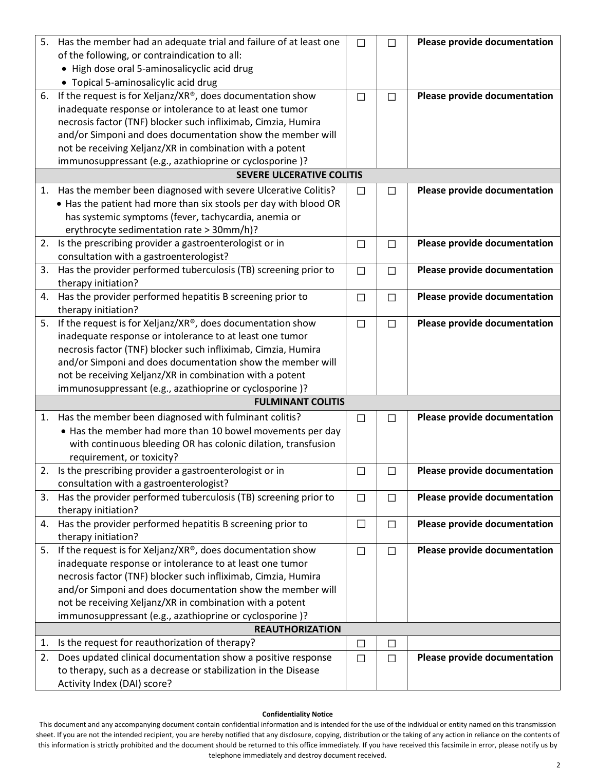| 5. | Has the member had an adequate trial and failure of at least one                              | $\Box$ | $\Box$ | Please provide documentation |
|----|-----------------------------------------------------------------------------------------------|--------|--------|------------------------------|
|    | of the following, or contraindication to all:                                                 |        |        |                              |
|    | • High dose oral 5-aminosalicyclic acid drug                                                  |        |        |                              |
|    | • Topical 5-aminosalicylic acid drug                                                          |        |        |                              |
| 6. | If the request is for Xeljanz/XR®, does documentation show                                    | $\Box$ | $\Box$ | Please provide documentation |
|    | inadequate response or intolerance to at least one tumor                                      |        |        |                              |
|    | necrosis factor (TNF) blocker such infliximab, Cimzia, Humira                                 |        |        |                              |
|    | and/or Simponi and does documentation show the member will                                    |        |        |                              |
|    | not be receiving Xeljanz/XR in combination with a potent                                      |        |        |                              |
|    | immunosuppressant (e.g., azathioprine or cyclosporine)?                                       |        |        |                              |
|    | <b>SEVERE ULCERATIVE COLITIS</b>                                                              |        |        |                              |
| 1. | Has the member been diagnosed with severe Ulcerative Colitis?                                 | $\Box$ | П      | Please provide documentation |
|    | • Has the patient had more than six stools per day with blood OR                              |        |        |                              |
|    | has systemic symptoms (fever, tachycardia, anemia or                                          |        |        |                              |
|    | erythrocyte sedimentation rate > 30mm/h)?                                                     |        |        |                              |
| 2. | Is the prescribing provider a gastroenterologist or in                                        | $\Box$ | $\Box$ | Please provide documentation |
|    | consultation with a gastroenterologist?                                                       |        |        |                              |
| 3. | Has the provider performed tuberculosis (TB) screening prior to                               | $\Box$ | $\Box$ | Please provide documentation |
|    | therapy initiation?                                                                           |        |        |                              |
| 4. | Has the provider performed hepatitis B screening prior to                                     | $\Box$ | $\Box$ | Please provide documentation |
|    | therapy initiation?                                                                           |        |        |                              |
| 5. | If the request is for Xeljanz/XR®, does documentation show                                    | $\Box$ | $\Box$ | Please provide documentation |
|    | inadequate response or intolerance to at least one tumor                                      |        |        |                              |
|    | necrosis factor (TNF) blocker such infliximab, Cimzia, Humira                                 |        |        |                              |
|    | and/or Simponi and does documentation show the member will                                    |        |        |                              |
|    | not be receiving Xeljanz/XR in combination with a potent                                      |        |        |                              |
|    | immunosuppressant (e.g., azathioprine or cyclosporine)?                                       |        |        |                              |
|    | <b>FULMINANT COLITIS</b>                                                                      |        |        |                              |
| 1. | Has the member been diagnosed with fulminant colitis?                                         | $\Box$ | П      | Please provide documentation |
|    | • Has the member had more than 10 bowel movements per day                                     |        |        |                              |
|    | with continuous bleeding OR has colonic dilation, transfusion                                 |        |        |                              |
|    | requirement, or toxicity?                                                                     |        |        |                              |
|    | 2. Is the prescribing provider a gastroenterologist or in                                     | $\Box$ | $\Box$ | Please provide documentation |
|    | consultation with a gastroenterologist?                                                       |        |        |                              |
| 3. | Has the provider performed tuberculosis (TB) screening prior to                               | $\Box$ | $\Box$ | Please provide documentation |
|    | therapy initiation?                                                                           |        |        |                              |
| 4. | Has the provider performed hepatitis B screening prior to                                     | $\Box$ | $\Box$ | Please provide documentation |
|    | therapy initiation?                                                                           |        |        |                              |
| 5. | If the request is for Xeljanz/XR®, does documentation show                                    | $\Box$ | $\Box$ | Please provide documentation |
|    | inadequate response or intolerance to at least one tumor                                      |        |        |                              |
|    | necrosis factor (TNF) blocker such infliximab, Cimzia, Humira                                 |        |        |                              |
|    | and/or Simponi and does documentation show the member will                                    |        |        |                              |
|    | not be receiving Xeljanz/XR in combination with a potent                                      |        |        |                              |
|    | immunosuppressant (e.g., azathioprine or cyclosporine)?                                       |        |        |                              |
|    | <b>REAUTHORIZATION</b>                                                                        |        |        |                              |
| 1. | Is the request for reauthorization of therapy?                                                | $\Box$ | $\Box$ |                              |
|    | Does updated clinical documentation show a positive response                                  | $\Box$ | $\Box$ | Please provide documentation |
| 2. |                                                                                               |        |        |                              |
|    | to therapy, such as a decrease or stabilization in the Disease<br>Activity Index (DAI) score? |        |        |                              |

#### **Confidentiality Notice**